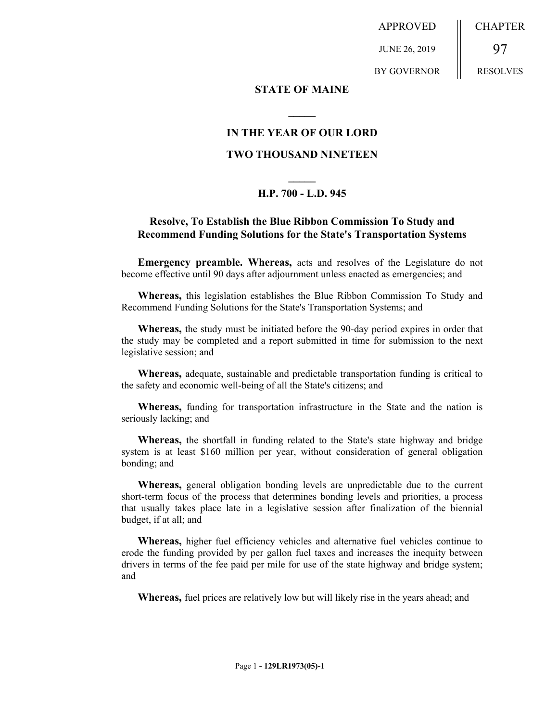APPROVED

JUNE 26, 2019

BY GOVERNOR

97 RESOLVES

CHAPTER

## **STATE OF MAINE**

# **IN THE YEAR OF OUR LORD**

**\_\_\_\_\_**

## **TWO THOUSAND NINETEEN**

# **\_\_\_\_\_ H.P. 700 - L.D. 945**

## **Resolve, To Establish the Blue Ribbon Commission To Study and Recommend Funding Solutions for the State's Transportation Systems**

**Emergency preamble. Whereas,** acts and resolves of the Legislature do not become effective until 90 days after adjournment unless enacted as emergencies; and

**Whereas,** this legislation establishes the Blue Ribbon Commission To Study and Recommend Funding Solutions for the State's Transportation Systems; and

**Whereas,** the study must be initiated before the 90-day period expires in order that the study may be completed and a report submitted in time for submission to the next legislative session; and

**Whereas,** adequate, sustainable and predictable transportation funding is critical to the safety and economic well-being of all the State's citizens; and

**Whereas,** funding for transportation infrastructure in the State and the nation is seriously lacking; and

**Whereas,** the shortfall in funding related to the State's state highway and bridge system is at least \$160 million per year, without consideration of general obligation bonding; and

**Whereas,** general obligation bonding levels are unpredictable due to the current short-term focus of the process that determines bonding levels and priorities, a process that usually takes place late in a legislative session after finalization of the biennial budget, if at all; and

**Whereas,** higher fuel efficiency vehicles and alternative fuel vehicles continue to erode the funding provided by per gallon fuel taxes and increases the inequity between drivers in terms of the fee paid per mile for use of the state highway and bridge system; and

**Whereas,** fuel prices are relatively low but will likely rise in the years ahead; and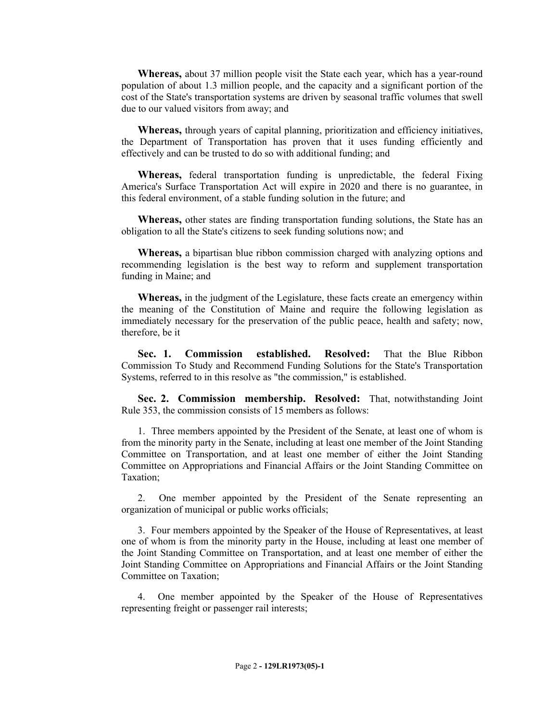**Whereas,** about 37 million people visit the State each year, which has a year-round population of about 1.3 million people, and the capacity and a significant portion of the cost of the State's transportation systems are driven by seasonal traffic volumes that swell due to our valued visitors from away; and

**Whereas,** through years of capital planning, prioritization and efficiency initiatives, the Department of Transportation has proven that it uses funding efficiently and effectively and can be trusted to do so with additional funding; and

**Whereas,** federal transportation funding is unpredictable, the federal Fixing America's Surface Transportation Act will expire in 2020 and there is no guarantee, in this federal environment, of a stable funding solution in the future; and

**Whereas,** other states are finding transportation funding solutions, the State has an obligation to all the State's citizens to seek funding solutions now; and

**Whereas,** a bipartisan blue ribbon commission charged with analyzing options and recommending legislation is the best way to reform and supplement transportation funding in Maine; and

**Whereas,** in the judgment of the Legislature, these facts create an emergency within the meaning of the Constitution of Maine and require the following legislation as immediately necessary for the preservation of the public peace, health and safety; now, therefore, be it

**Sec. 1. Commission established. Resolved:** That the Blue Ribbon Commission To Study and Recommend Funding Solutions for the State's Transportation Systems, referred to in this resolve as "the commission," is established.

**Sec. 2. Commission membership. Resolved:** That, notwithstanding Joint Rule 353, the commission consists of 15 members as follows:

1. Three members appointed by the President of the Senate, at least one of whom is from the minority party in the Senate, including at least one member of the Joint Standing Committee on Transportation, and at least one member of either the Joint Standing Committee on Appropriations and Financial Affairs or the Joint Standing Committee on Taxation;

2. One member appointed by the President of the Senate representing an organization of municipal or public works officials;

3. Four members appointed by the Speaker of the House of Representatives, at least one of whom is from the minority party in the House, including at least one member of the Joint Standing Committee on Transportation, and at least one member of either the Joint Standing Committee on Appropriations and Financial Affairs or the Joint Standing Committee on Taxation;

4. One member appointed by the Speaker of the House of Representatives representing freight or passenger rail interests;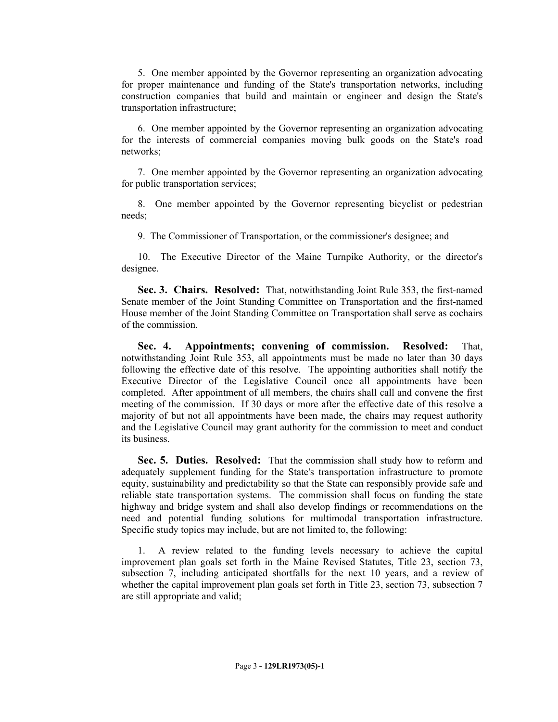5. One member appointed by the Governor representing an organization advocating for proper maintenance and funding of the State's transportation networks, including construction companies that build and maintain or engineer and design the State's transportation infrastructure;

6. One member appointed by the Governor representing an organization advocating for the interests of commercial companies moving bulk goods on the State's road networks;

7. One member appointed by the Governor representing an organization advocating for public transportation services;

8. One member appointed by the Governor representing bicyclist or pedestrian needs;

9. The Commissioner of Transportation, or the commissioner's designee; and

10. The Executive Director of the Maine Turnpike Authority, or the director's designee.

**Sec. 3. Chairs. Resolved:** That, notwithstanding Joint Rule 353, the first-named Senate member of the Joint Standing Committee on Transportation and the first-named House member of the Joint Standing Committee on Transportation shall serve as cochairs of the commission.

**Sec. 4. Appointments; convening of commission. Resolved:** That, notwithstanding Joint Rule 353, all appointments must be made no later than 30 days following the effective date of this resolve. The appointing authorities shall notify the Executive Director of the Legislative Council once all appointments have been completed. After appointment of all members, the chairs shall call and convene the first meeting of the commission. If 30 days or more after the effective date of this resolve a majority of but not all appointments have been made, the chairs may request authority and the Legislative Council may grant authority for the commission to meet and conduct its business.

**Sec. 5. Duties. Resolved:** That the commission shall study how to reform and adequately supplement funding for the State's transportation infrastructure to promote equity, sustainability and predictability so that the State can responsibly provide safe and reliable state transportation systems. The commission shall focus on funding the state highway and bridge system and shall also develop findings or recommendations on the need and potential funding solutions for multimodal transportation infrastructure. Specific study topics may include, but are not limited to, the following:

1. A review related to the funding levels necessary to achieve the capital improvement plan goals set forth in the Maine Revised Statutes, Title 23, section 73, subsection 7, including anticipated shortfalls for the next 10 years, and a review of whether the capital improvement plan goals set forth in Title 23, section 73, subsection 7 are still appropriate and valid;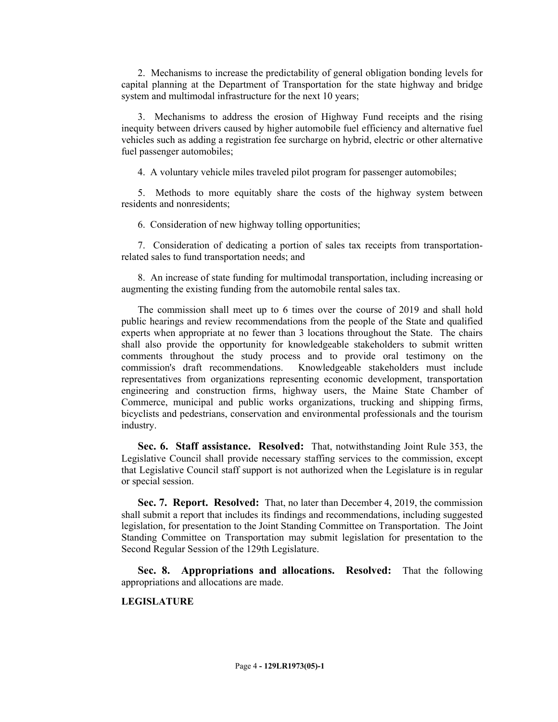2. Mechanisms to increase the predictability of general obligation bonding levels for capital planning at the Department of Transportation for the state highway and bridge system and multimodal infrastructure for the next 10 years;

3. Mechanisms to address the erosion of Highway Fund receipts and the rising inequity between drivers caused by higher automobile fuel efficiency and alternative fuel vehicles such as adding a registration fee surcharge on hybrid, electric or other alternative fuel passenger automobiles;

4. A voluntary vehicle miles traveled pilot program for passenger automobiles;

5. Methods to more equitably share the costs of the highway system between residents and nonresidents;

6. Consideration of new highway tolling opportunities;

7. Consideration of dedicating a portion of sales tax receipts from transportationrelated sales to fund transportation needs; and

8. An increase of state funding for multimodal transportation, including increasing or augmenting the existing funding from the automobile rental sales tax.

The commission shall meet up to 6 times over the course of 2019 and shall hold public hearings and review recommendations from the people of the State and qualified experts when appropriate at no fewer than 3 locations throughout the State. The chairs shall also provide the opportunity for knowledgeable stakeholders to submit written comments throughout the study process and to provide oral testimony on the commission's draft recommendations. Knowledgeable stakeholders must include representatives from organizations representing economic development, transportation engineering and construction firms, highway users, the Maine State Chamber of Commerce, municipal and public works organizations, trucking and shipping firms, bicyclists and pedestrians, conservation and environmental professionals and the tourism industry.

**Sec. 6. Staff assistance. Resolved:** That, notwithstanding Joint Rule 353, the Legislative Council shall provide necessary staffing services to the commission, except that Legislative Council staff support is not authorized when the Legislature is in regular or special session.

**Sec. 7. Report. Resolved:** That, no later than December 4, 2019, the commission shall submit a report that includes its findings and recommendations, including suggested legislation, for presentation to the Joint Standing Committee on Transportation. The Joint Standing Committee on Transportation may submit legislation for presentation to the Second Regular Session of the 129th Legislature.

**Sec. 8. Appropriations and allocations. Resolved:** That the following appropriations and allocations are made.

### **LEGISLATURE**